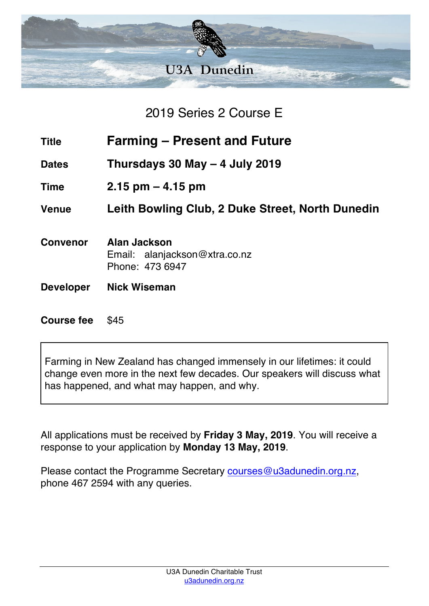

2019 Series 2 Course E

- **Title Farming – Present and Future**
- **Dates Thursdays 30 May – 4 July 2019**
- **Time 2.15 pm – 4.15 pm**

**Venue Leith Bowling Club, 2 Duke Street, North Dunedin**

- **Convenor Alan Jackson** Email: alanjackson@xtra.co.nz Phone: 473 6947
- **Developer Nick Wiseman**

**Course fee** \$45

Farming in New Zealand has changed immensely in our lifetimes: it could change even more in the next few decades. Our speakers will discuss what has happened, and what may happen, and why.

All applications must be received by **Friday 3 May, 2019**. You will receive a response to your application by **Monday 13 May, 2019**.

Please contact the Programme Secretary courses@u3adunedin.org.nz, phone 467 2594 with any queries.